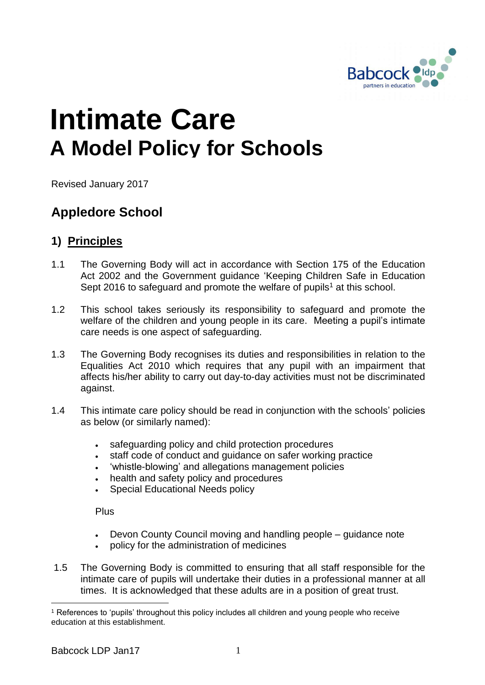

# **Intimate Care A Model Policy for Schools**

Revised January 2017

# **Appledore School**

### **1) Principles**

- 1.1 The Governing Body will act in accordance with Section 175 of the Education Act 2002 and the Government guidance 'Keeping Children Safe in Education Sept 2016 to safeguard and promote the welfare of pupils<sup>1</sup> at this school.
- 1.2 This school takes seriously its responsibility to safeguard and promote the welfare of the children and young people in its care. Meeting a pupil's intimate care needs is one aspect of safeguarding.
- 1.3 The Governing Body recognises its duties and responsibilities in relation to the Equalities Act 2010 which requires that any pupil with an impairment that affects his/her ability to carry out day-to-day activities must not be discriminated against.
- 1.4 This intimate care policy should be read in conjunction with the schools' policies as below (or similarly named):
	- safeguarding policy and child protection procedures
	- . staff code of conduct and quidance on safer working practice
	- 'whistle-blowing' and allegations management policies
	- health and safety policy and procedures
	- Special Educational Needs policy

Plus

- Devon County Council moving and handling people guidance note
- policy for the administration of medicines
- 1.5 The Governing Body is committed to ensuring that all staff responsible for the intimate care of pupils will undertake their duties in a professional manner at all times. It is acknowledged that these adults are in a position of great trust.

1

<sup>1</sup> References to 'pupils' throughout this policy includes all children and young people who receive education at this establishment.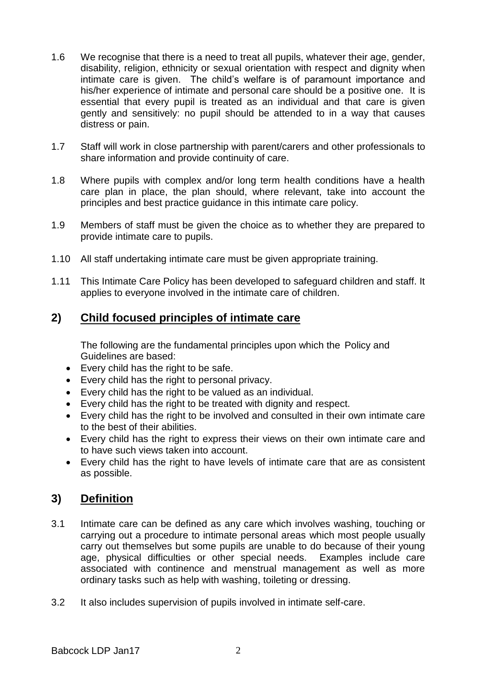- 1.6 We recognise that there is a need to treat all pupils, whatever their age, gender, disability, religion, ethnicity or sexual orientation with respect and dignity when intimate care is given. The child's welfare is of paramount importance and his/her experience of intimate and personal care should be a positive one. It is essential that every pupil is treated as an individual and that care is given gently and sensitively: no pupil should be attended to in a way that causes distress or pain.
- 1.7 Staff will work in close partnership with parent/carers and other professionals to share information and provide continuity of care.
- 1.8 Where pupils with complex and/or long term health conditions have a health care plan in place, the plan should, where relevant, take into account the principles and best practice guidance in this intimate care policy.
- 1.9 Members of staff must be given the choice as to whether they are prepared to provide intimate care to pupils.
- 1.10 All staff undertaking intimate care must be given appropriate training.
- 1.11 This Intimate Care Policy has been developed to safeguard children and staff. It applies to everyone involved in the intimate care of children.

### **2) Child focused principles of intimate care**

The following are the fundamental principles upon which the Policy and Guidelines are based:

- Every child has the right to be safe.
- Every child has the right to personal privacy.
- Every child has the right to be valued as an individual.
- Every child has the right to be treated with dignity and respect.
- Every child has the right to be involved and consulted in their own intimate care to the best of their abilities.
- Every child has the right to express their views on their own intimate care and to have such views taken into account.
- Every child has the right to have levels of intimate care that are as consistent as possible.

### **3) Definition**

- 3.1 Intimate care can be defined as any care which involves washing, touching or carrying out a procedure to intimate personal areas which most people usually carry out themselves but some pupils are unable to do because of their young age, physical difficulties or other special needs. Examples include care associated with continence and menstrual management as well as more ordinary tasks such as help with washing, toileting or dressing.
- 3.2 It also includes supervision of pupils involved in intimate self-care.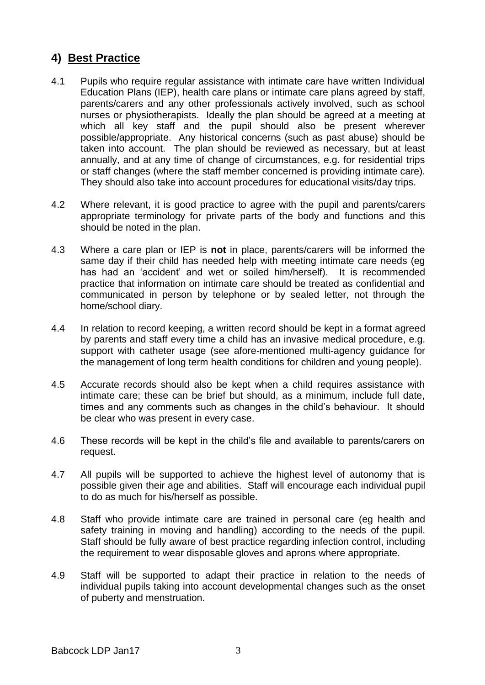## **4) Best Practice**

- 4.1 Pupils who require regular assistance with intimate care have written Individual Education Plans (IEP), health care plans or intimate care plans agreed by staff, parents/carers and any other professionals actively involved, such as school nurses or physiotherapists. Ideally the plan should be agreed at a meeting at which all key staff and the pupil should also be present wherever possible/appropriate. Any historical concerns (such as past abuse) should be taken into account. The plan should be reviewed as necessary, but at least annually, and at any time of change of circumstances, e.g. for residential trips or staff changes (where the staff member concerned is providing intimate care). They should also take into account procedures for educational visits/day trips.
- 4.2 Where relevant, it is good practice to agree with the pupil and parents/carers appropriate terminology for private parts of the body and functions and this should be noted in the plan.
- 4.3 Where a care plan or IEP is **not** in place, parents/carers will be informed the same day if their child has needed help with meeting intimate care needs (eg has had an 'accident' and wet or soiled him/herself). It is recommended practice that information on intimate care should be treated as confidential and communicated in person by telephone or by sealed letter, not through the home/school diary.
- 4.4 In relation to record keeping, a written record should be kept in a format agreed by parents and staff every time a child has an invasive medical procedure, e.g. support with catheter usage (see afore-mentioned multi-agency guidance for the management of long term health conditions for children and young people).
- 4.5 Accurate records should also be kept when a child requires assistance with intimate care; these can be brief but should, as a minimum, include full date, times and any comments such as changes in the child's behaviour. It should be clear who was present in every case.
- 4.6 These records will be kept in the child's file and available to parents/carers on request.
- 4.7 All pupils will be supported to achieve the highest level of autonomy that is possible given their age and abilities. Staff will encourage each individual pupil to do as much for his/herself as possible.
- 4.8 Staff who provide intimate care are trained in personal care (eg health and safety training in moving and handling) according to the needs of the pupil. Staff should be fully aware of best practice regarding infection control, including the requirement to wear disposable gloves and aprons where appropriate.
- 4.9 Staff will be supported to adapt their practice in relation to the needs of individual pupils taking into account developmental changes such as the onset of puberty and menstruation.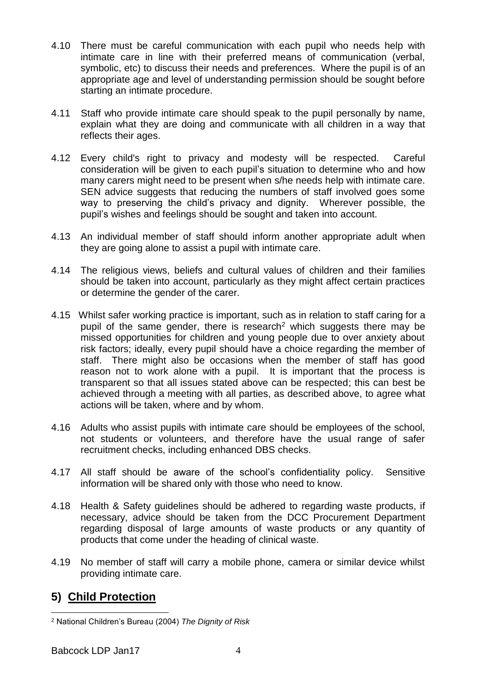- 4.10 There must be careful communication with each pupil who needs help with intimate care in line with their preferred means of communication (verbal, symbolic, etc) to discuss their needs and preferences. Where the pupil is of an appropriate age and level of understanding permission should be sought before starting an intimate procedure.
- 4.11 Staff who provide intimate care should speak to the pupil personally by name, explain what they are doing and communicate with all children in a way that reflects their ages.
- 4.12 Every child's right to privacy and modesty will be respected. Careful consideration will be given to each pupil's situation to determine who and how many carers might need to be present when s/he needs help with intimate care. SEN advice suggests that reducing the numbers of staff involved goes some way to preserving the child's privacy and dignity. Wherever possible, the pupil's wishes and feelings should be sought and taken into account.
- 4.13 An individual member of staff should inform another appropriate adult when they are going alone to assist a pupil with intimate care.
- 4.14 The religious views, beliefs and cultural values of children and their families should be taken into account, particularly as they might affect certain practices or determine the gender of the carer.
- 4.15 Whilst safer working practice is important, such as in relation to staff caring for a pupil of the same gender, there is research<sup>2</sup> which suggests there may be missed opportunities for children and young people due to over anxiety about risk factors; ideally, every pupil should have a choice regarding the member of staff. There might also be occasions when the member of staff has good reason not to work alone with a pupil. It is important that the process is transparent so that all issues stated above can be respected; this can best be achieved through a meeting with all parties, as described above, to agree what actions will be taken, where and by whom.
- 4.16 Adults who assist pupils with intimate care should be employees of the school, not students or volunteers, and therefore have the usual range of safer recruitment checks, including enhanced DBS checks.
- 4.17 All staff should be aware of the school's confidentiality policy. Sensitive information will be shared only with those who need to know.
- 4.18 Health & Safety guidelines should be adhered to regarding waste products, if necessary, advice should be taken from the DCC Procurement Department regarding disposal of large amounts of waste products or any quantity of products that come under the heading of clinical waste.
- 4.19 No member of staff will carry a mobile phone, camera or similar device whilst providing intimate care.

### **5) Child Protection**

<sup>&</sup>lt;u>.</u> <sup>2</sup> National Children's Bureau (2004) *The Dignity of Risk*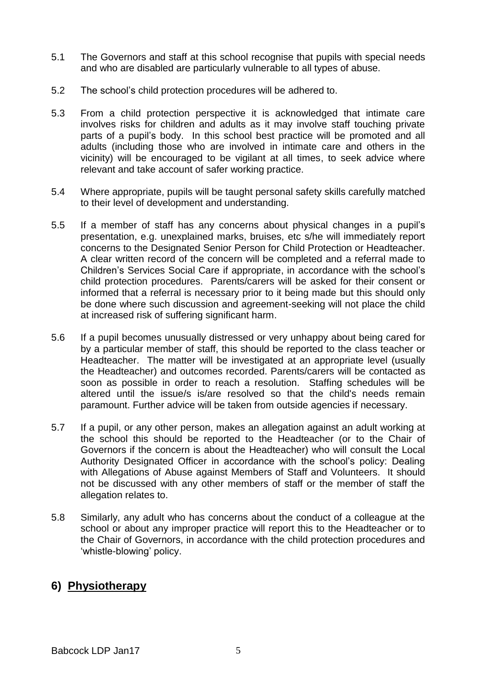- 5.1 The Governors and staff at this school recognise that pupils with special needs and who are disabled are particularly vulnerable to all types of abuse.
- 5.2 The school's child protection procedures will be adhered to.
- 5.3 From a child protection perspective it is acknowledged that intimate care involves risks for children and adults as it may involve staff touching private parts of a pupil's body. In this school best practice will be promoted and all adults (including those who are involved in intimate care and others in the vicinity) will be encouraged to be vigilant at all times, to seek advice where relevant and take account of safer working practice.
- 5.4 Where appropriate, pupils will be taught personal safety skills carefully matched to their level of development and understanding.
- 5.5 If a member of staff has any concerns about physical changes in a pupil's presentation, e.g. unexplained marks, bruises, etc s/he will immediately report concerns to the Designated Senior Person for Child Protection or Headteacher. A clear written record of the concern will be completed and a referral made to Children's Services Social Care if appropriate, in accordance with the school's child protection procedures. Parents/carers will be asked for their consent or informed that a referral is necessary prior to it being made but this should only be done where such discussion and agreement-seeking will not place the child at increased risk of suffering significant harm.
- 5.6 If a pupil becomes unusually distressed or very unhappy about being cared for by a particular member of staff, this should be reported to the class teacher or Headteacher. The matter will be investigated at an appropriate level (usually the Headteacher) and outcomes recorded. Parents/carers will be contacted as soon as possible in order to reach a resolution. Staffing schedules will be altered until the issue/s is/are resolved so that the child's needs remain paramount. Further advice will be taken from outside agencies if necessary.
- 5.7 If a pupil, or any other person, makes an allegation against an adult working at the school this should be reported to the Headteacher (or to the Chair of Governors if the concern is about the Headteacher) who will consult the Local Authority Designated Officer in accordance with the school's policy: Dealing with Allegations of Abuse against Members of Staff and Volunteers. It should not be discussed with any other members of staff or the member of staff the allegation relates to.
- 5.8 Similarly, any adult who has concerns about the conduct of a colleague at the school or about any improper practice will report this to the Headteacher or to the Chair of Governors, in accordance with the child protection procedures and 'whistle-blowing' policy.

#### **6) Physiotherapy**